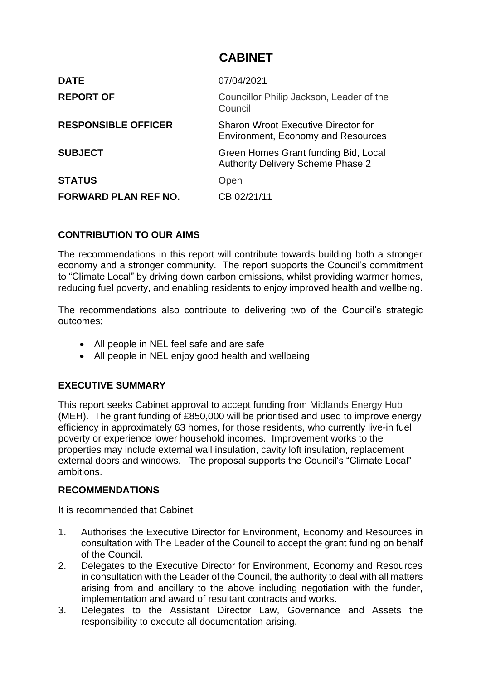# **CABINET**

| <b>DATE</b>                 | 07/04/2021                                                                              |
|-----------------------------|-----------------------------------------------------------------------------------------|
| <b>REPORT OF</b>            | Councillor Philip Jackson, Leader of the<br>Council                                     |
| <b>RESPONSIBLE OFFICER</b>  | <b>Sharon Wroot Executive Director for</b><br><b>Environment, Economy and Resources</b> |
| <b>SUBJECT</b>              | Green Homes Grant funding Bid, Local<br><b>Authority Delivery Scheme Phase 2</b>        |
| <b>STATUS</b>               | Open                                                                                    |
| <b>FORWARD PLAN REF NO.</b> | CB 02/21/11                                                                             |

#### **CONTRIBUTION TO OUR AIMS**

The recommendations in this report will contribute towards building both a stronger economy and a stronger community. The report supports the Council's commitment to "Climate Local" by driving down carbon emissions, whilst providing warmer homes, reducing fuel poverty, and enabling residents to enjoy improved health and wellbeing.

The recommendations also contribute to delivering two of the Council's strategic outcomes;

- All people in NEL feel safe and are safe
- All people in NEL enjoy good health and wellbeing

#### **EXECUTIVE SUMMARY**

This report seeks Cabinet approval to accept funding from Midlands Energy Hub (MEH). The grant funding of £850,000 will be prioritised and used to improve energy efficiency in approximately 63 homes, for those residents, who currently live-in fuel poverty or experience lower household incomes. Improvement works to the properties may include external wall insulation, cavity loft insulation, replacement external doors and windows. The proposal supports the Council's "Climate Local" ambitions.

#### **RECOMMENDATIONS**

It is recommended that Cabinet:

- 1. Authorises the Executive Director for Environment, Economy and Resources in consultation with The Leader of the Council to accept the grant funding on behalf of the Council.
- 2. Delegates to the Executive Director for Environment, Economy and Resources in consultation with the Leader of the Council, the authority to deal with all matters arising from and ancillary to the above including negotiation with the funder, implementation and award of resultant contracts and works.
- 3. Delegates to the Assistant Director Law, Governance and Assets the responsibility to execute all documentation arising.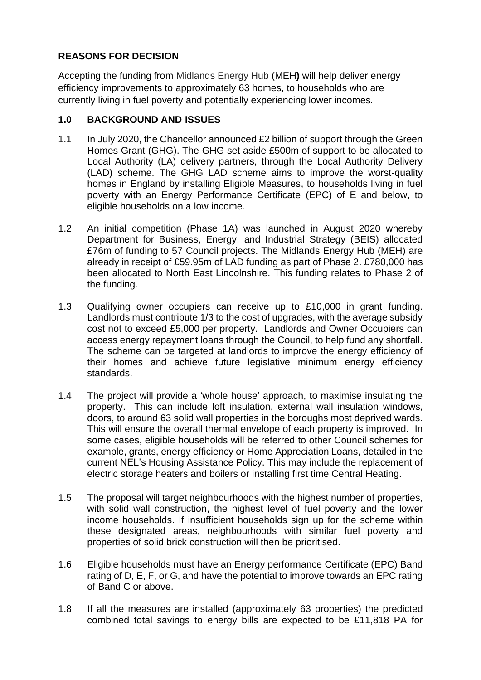# **REASONS FOR DECISION**

Accepting the funding from Midlands Energy Hub (MEH**)** will help deliver energy efficiency improvements to approximately 63 homes, to households who are currently living in fuel poverty and potentially experiencing lower incomes.

## **1.0 BACKGROUND AND ISSUES**

- 1.1 In July 2020, the Chancellor announced £2 billion of support through the Green Homes Grant (GHG). The GHG set aside £500m of support to be allocated to Local Authority (LA) delivery partners, through the Local Authority Delivery (LAD) scheme. The GHG LAD scheme aims to improve the worst-quality homes in England by installing Eligible Measures, to households living in fuel poverty with an Energy Performance Certificate (EPC) of E and below, to eligible households on a low income.
- 1.2 An initial competition (Phase 1A) was launched in August 2020 whereby Department for Business, Energy, and Industrial Strategy (BEIS) allocated £76m of funding to 57 Council projects. The Midlands Energy Hub (MEH) are already in receipt of £59.95m of LAD funding as part of Phase 2. £780,000 has been allocated to North East Lincolnshire. This funding relates to Phase 2 of the funding.
- 1.3 Qualifying owner occupiers can receive up to £10,000 in grant funding. Landlords must contribute 1/3 to the cost of upgrades, with the average subsidy cost not to exceed £5,000 per property. Landlords and Owner Occupiers can access energy repayment loans through the Council, to help fund any shortfall. The scheme can be targeted at landlords to improve the energy efficiency of their homes and achieve future legislative minimum energy efficiency standards.
- 1.4 The project will provide a 'whole house' approach, to maximise insulating the property. This can include loft insulation, external wall insulation windows, doors, to around 63 solid wall properties in the boroughs most deprived wards. This will ensure the overall thermal envelope of each property is improved. In some cases, eligible households will be referred to other Council schemes for example, grants, energy efficiency or Home Appreciation Loans, detailed in the current NEL's Housing Assistance Policy. This may include the replacement of electric storage heaters and boilers or installing first time Central Heating.
- 1.5 The proposal will target neighbourhoods with the highest number of properties, with solid wall construction, the highest level of fuel poverty and the lower income households. If insufficient households sign up for the scheme within these designated areas, neighbourhoods with similar fuel poverty and properties of solid brick construction will then be prioritised.
- 1.6 Eligible households must have an Energy performance Certificate (EPC) Band rating of D, E, F, or G, and have the potential to improve towards an EPC rating of Band C or above.
- 1.8 If all the measures are installed (approximately 63 properties) the predicted combined total savings to energy bills are expected to be £11,818 PA for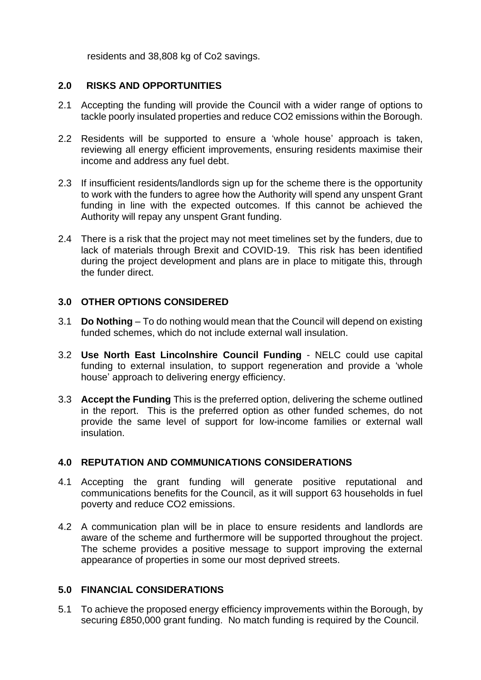residents and 38,808 kg of Co2 savings.

#### **2.0 RISKS AND OPPORTUNITIES**

- 2.1 Accepting the funding will provide the Council with a wider range of options to tackle poorly insulated properties and reduce CO2 emissions within the Borough.
- 2.2 Residents will be supported to ensure a 'whole house' approach is taken, reviewing all energy efficient improvements, ensuring residents maximise their income and address any fuel debt.
- 2.3 If insufficient residents/landlords sign up for the scheme there is the opportunity to work with the funders to agree how the Authority will spend any unspent Grant funding in line with the expected outcomes. If this cannot be achieved the Authority will repay any unspent Grant funding.
- 2.4 There is a risk that the project may not meet timelines set by the funders, due to lack of materials through Brexit and COVID-19. This risk has been identified during the project development and plans are in place to mitigate this, through the funder direct.

#### **3.0 OTHER OPTIONS CONSIDERED**

- 3.1 **Do Nothing** To do nothing would mean that the Council will depend on existing funded schemes, which do not include external wall insulation.
- 3.2 **Use North East Lincolnshire Council Funding** NELC could use capital funding to external insulation, to support regeneration and provide a 'whole house' approach to delivering energy efficiency.
- 3.3 **Accept the Funding** This is the preferred option, delivering the scheme outlined in the report. This is the preferred option as other funded schemes, do not provide the same level of support for low-income families or external wall insulation.

#### **4.0 REPUTATION AND COMMUNICATIONS CONSIDERATIONS**

- 4.1 Accepting the grant funding will generate positive reputational and communications benefits for the Council, as it will support 63 households in fuel poverty and reduce CO2 emissions.
- 4.2 A communication plan will be in place to ensure residents and landlords are aware of the scheme and furthermore will be supported throughout the project. The scheme provides a positive message to support improving the external appearance of properties in some our most deprived streets.

#### **5.0 FINANCIAL CONSIDERATIONS**

5.1 To achieve the proposed energy efficiency improvements within the Borough, by securing £850,000 grant funding. No match funding is required by the Council.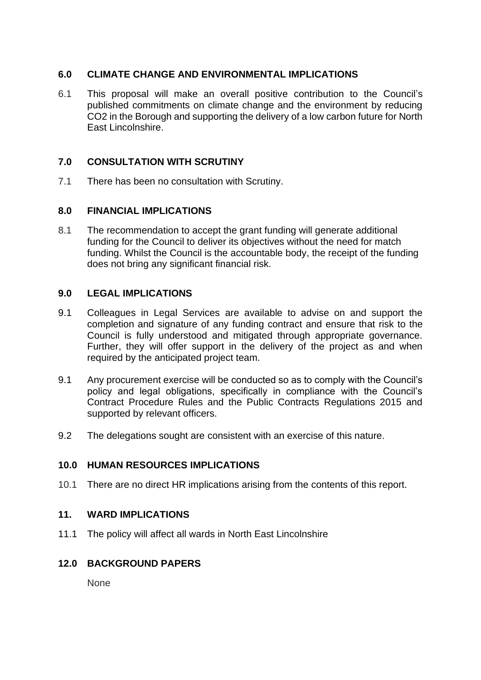#### **6.0 CLIMATE CHANGE AND ENVIRONMENTAL IMPLICATIONS**

6.1 This proposal will make an overall positive contribution to the Council's published commitments on climate change and the environment by reducing CO2 in the Borough and supporting the delivery of a low carbon future for North East Lincolnshire.

#### **7.0 CONSULTATION WITH SCRUTINY**

7.1 There has been no consultation with Scrutiny.

#### **8.0 FINANCIAL IMPLICATIONS**

8.1 The recommendation to accept the grant funding will generate additional funding for the Council to deliver its objectives without the need for match funding. Whilst the Council is the accountable body, the receipt of the funding does not bring any significant financial risk.

#### **9.0 LEGAL IMPLICATIONS**

- 9.1 Colleagues in Legal Services are available to advise on and support the completion and signature of any funding contract and ensure that risk to the Council is fully understood and mitigated through appropriate governance. Further, they will offer support in the delivery of the project as and when required by the anticipated project team.
- 9.1 Any procurement exercise will be conducted so as to comply with the Council's policy and legal obligations, specifically in compliance with the Council's Contract Procedure Rules and the Public Contracts Regulations 2015 and supported by relevant officers.
- 9.2 The delegations sought are consistent with an exercise of this nature.

#### **10.0 HUMAN RESOURCES IMPLICATIONS**

10.1 There are no direct HR implications arising from the contents of this report.

#### **11. WARD IMPLICATIONS**

11.1 The policy will affect all wards in North East Lincolnshire

## **12.0 BACKGROUND PAPERS**

None